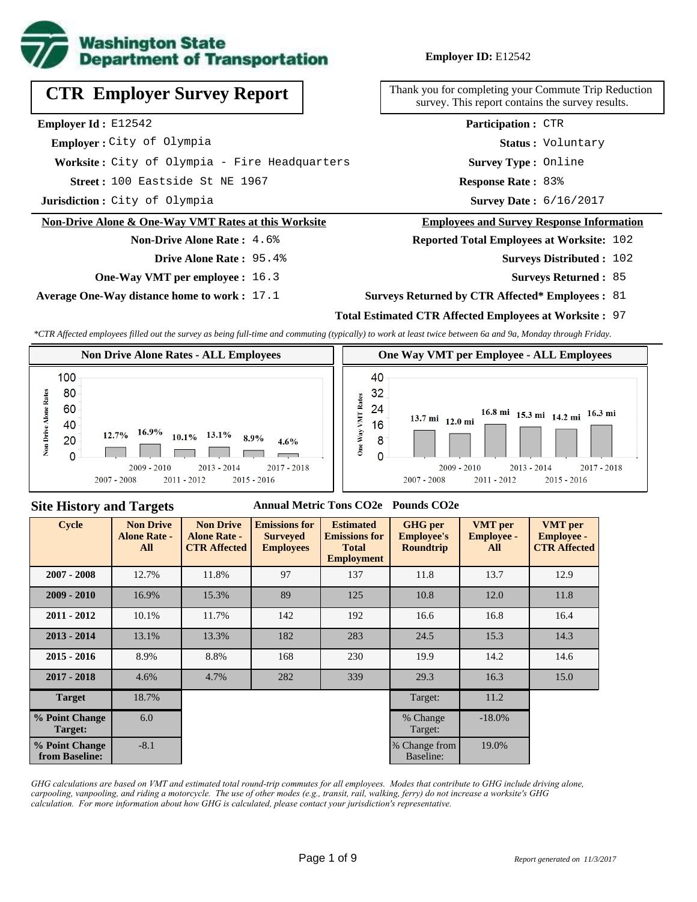

# **Employer ID:** E12542

**CTR Employer Survey Report**

**Employer Id :** E12542

 **Employer :** City of Olympia

**Worksite :** City of Olympia - Fire Headquarters

100 Eastside St NE 1967 **Response Rate : Street :**

**Jurisdiction :** City of Olympia

#### **Non-Drive Alone & One-Way VMT Rates at this Worksite**

**Non-Drive Alone Rate :** 4.6%

- **Drive Alone Rate :** 95.4%
- **One-Way VMT per employee :** 16.3

**Average One-Way distance home to work :** 17.1

Thank you for completing your Commute Trip Reduction survey. This report contains the survey results.

> **Status :** Voluntary **Participation :** CTR

**Survey Type :** Online

Response Rate: 83%

Survey Date: 6/16/2017

#### **Employees and Survey Response Information**

**Reported Total Employees at Worksite:** 102

- Surveys Distributed : 102
	- **Surveys Returned :** 85

#### **Surveys Returned by CTR Affected\* Employees :** 81

## **Total Estimated CTR Affected Employees at Worksite :** 97

*\*CTR Affected employees filled out the survey as being full-time and commuting (typically) to work at least twice between 6a and 9a, Monday through Friday.*



#### **Site History and Targets**

## **Annual Metric Tons CO2e Pounds CO2e**

| <b>Cycle</b>                     | <b>Non Drive</b><br><b>Alone Rate -</b><br><b>All</b> | <b>Non Drive</b><br><b>Alone Rate -</b><br><b>CTR Affected</b> | <b>Emissions for</b><br><b>Surveyed</b><br><b>Employees</b> | <b>Estimated</b><br><b>Emissions for</b><br><b>Total</b><br><b>Employment</b> | <b>GHG</b> per<br><b>Employee's</b><br><b>Roundtrip</b> | <b>VMT</b> per<br><b>Employee -</b><br>All | <b>VMT</b> per<br><b>Employee -</b><br><b>CTR Affected</b> |
|----------------------------------|-------------------------------------------------------|----------------------------------------------------------------|-------------------------------------------------------------|-------------------------------------------------------------------------------|---------------------------------------------------------|--------------------------------------------|------------------------------------------------------------|
| $2007 - 2008$                    | 12.7%                                                 | 11.8%                                                          | 97                                                          | 137                                                                           | 11.8                                                    | 13.7                                       | 12.9                                                       |
| $2009 - 2010$                    | 16.9%                                                 | 15.3%                                                          | 89                                                          | 125                                                                           | 10.8                                                    | 12.0                                       | 11.8                                                       |
| $2011 - 2012$                    | 10.1%                                                 | 11.7%                                                          | 142                                                         | 192                                                                           | 16.6                                                    | 16.8                                       | 16.4                                                       |
| $2013 - 2014$                    | 13.1%                                                 | 13.3%                                                          | 182                                                         | 283                                                                           | 24.5                                                    | 15.3                                       | 14.3                                                       |
| $2015 - 2016$                    | 8.9%                                                  | 8.8%                                                           | 168                                                         | 230                                                                           | 19.9                                                    | 14.2                                       | 14.6                                                       |
| $2017 - 2018$                    | 4.6%                                                  | 4.7%                                                           | 282                                                         | 339                                                                           | 29.3                                                    | 16.3                                       | 15.0                                                       |
| <b>Target</b>                    | 18.7%                                                 |                                                                |                                                             |                                                                               | Target:                                                 | 11.2                                       |                                                            |
| % Point Change<br>Target:        | 6.0                                                   |                                                                |                                                             |                                                                               | % Change<br>Target:                                     | $-18.0%$                                   |                                                            |
| % Point Change<br>from Baseline: | $-8.1$                                                |                                                                |                                                             |                                                                               | % Change from<br>Baseline:                              | 19.0%                                      |                                                            |

*GHG calculations are based on VMT and estimated total round-trip commutes for all employees. Modes that contribute to GHG include driving alone, carpooling, vanpooling, and riding a motorcycle. The use of other modes (e.g., transit, rail, walking, ferry) do not increase a worksite's GHG calculation. For more information about how GHG is calculated, please contact your jurisdiction's representative.*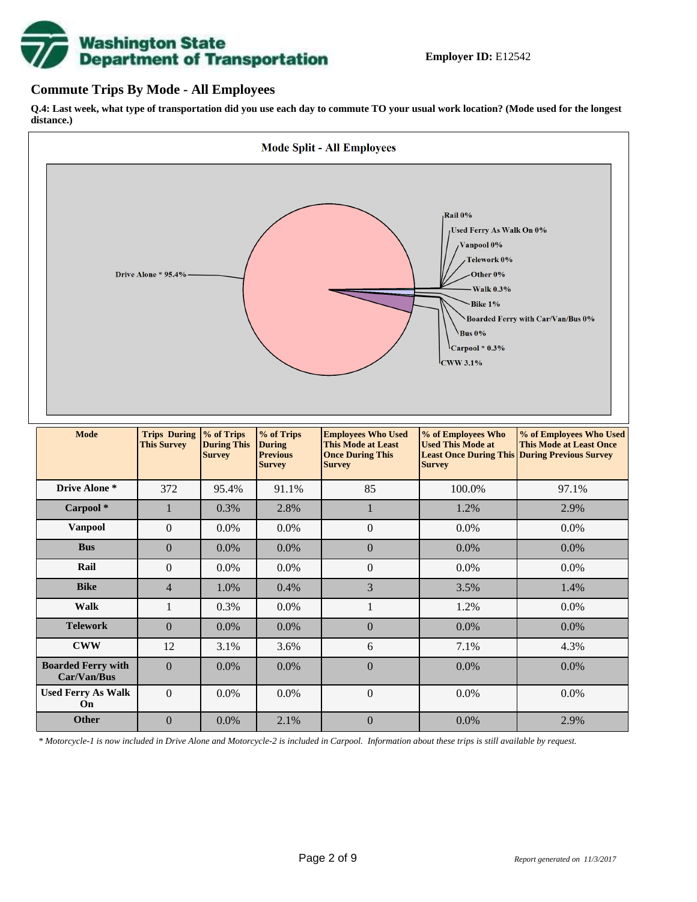# **Washington State<br>Department of Transportation**

# **Commute Trips By Mode - All Employees**

**Q.4: Last week, what type of transportation did you use each day to commute TO your usual work location? (Mode used for the longest distance.)**



*\* Motorcycle-1 is now included in Drive Alone and Motorcycle-2 is included in Carpool. Information about these trips is still available by request.*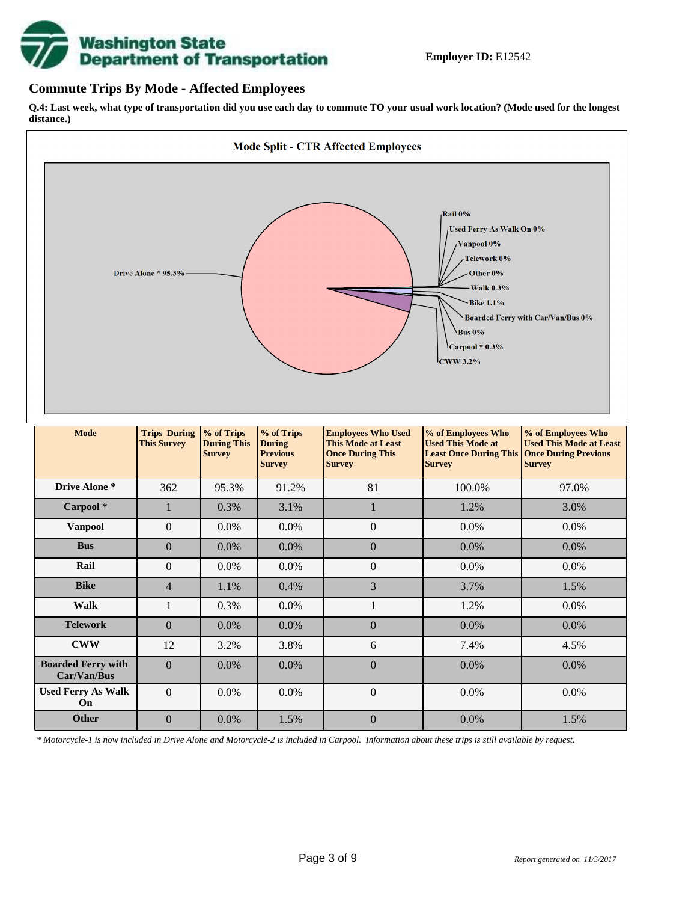

# **Commute Trips By Mode - Affected Employees**

**Q.4: Last week, what type of transportation did you use each day to commute TO your usual work location? (Mode used for the longest distance.)**



*\* Motorcycle-1 is now included in Drive Alone and Motorcycle-2 is included in Carpool. Information about these trips is still available by request.*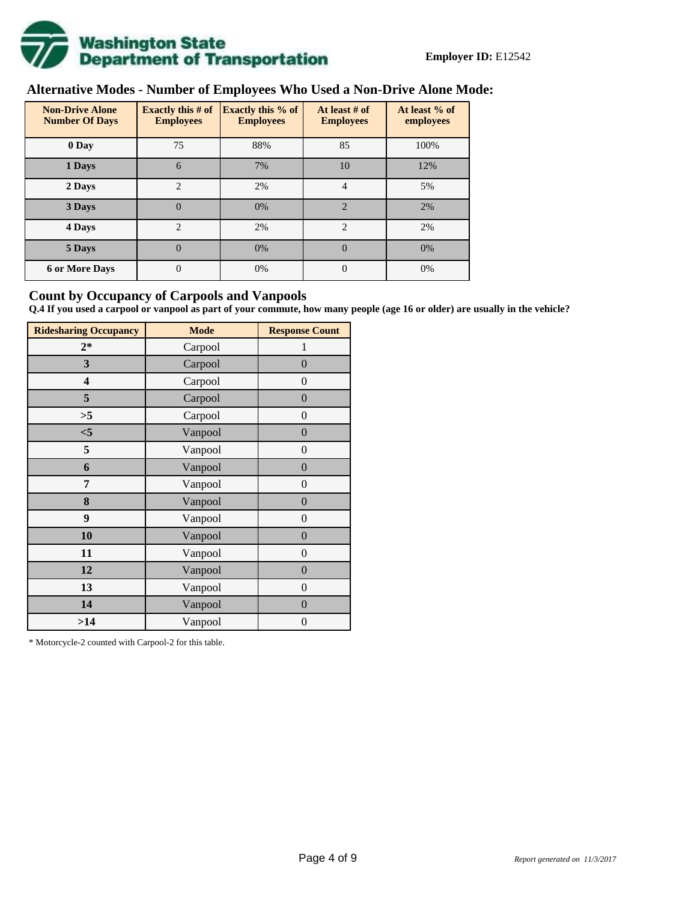

# **Alternative Modes - Number of Employees Who Used a Non-Drive Alone Mode:**

| <b>Non-Drive Alone</b><br><b>Number Of Days</b> | <b>Exactly this # of</b><br><b>Employees</b> | <b>Exactly this % of</b><br><b>Employees</b> | At least # of<br><b>Employees</b> | At least % of<br>employees |
|-------------------------------------------------|----------------------------------------------|----------------------------------------------|-----------------------------------|----------------------------|
| 0 Day                                           | 75                                           | 88%                                          | 85                                | 100%                       |
| 1 Days                                          | 6                                            | 7%                                           | 10                                | 12%                        |
| 2 Days                                          | $\overline{c}$                               | 2%                                           | 4                                 | 5%                         |
| 3 Days                                          | $\overline{0}$                               | 0%                                           | $\overline{2}$                    | 2%                         |
| 4 Days                                          | $\overline{c}$                               | 2%                                           | $\mathfrak{D}$                    | 2%                         |
| 5 Days                                          | $\overline{0}$                               | 0%                                           | $\Omega$                          | 0%                         |
| <b>6 or More Days</b>                           | $\theta$                                     | 0%                                           | $\Omega$                          | 0%                         |

# **Count by Occupancy of Carpools and Vanpools**

**Q.4 If you used a carpool or vanpool as part of your commute, how many people (age 16 or older) are usually in the vehicle?**

| <b>Ridesharing Occupancy</b> | <b>Mode</b> | <b>Response Count</b> |
|------------------------------|-------------|-----------------------|
| $2*$                         | Carpool     | 1                     |
| 3                            | Carpool     | $\overline{0}$        |
| 4                            | Carpool     | $\theta$              |
| 5                            | Carpool     | $\overline{0}$        |
| >5                           | Carpool     | $\overline{0}$        |
| $<$ 5                        | Vanpool     | $\overline{0}$        |
| 5                            | Vanpool     | $\overline{0}$        |
| 6                            | Vanpool     | $\boldsymbol{0}$      |
| 7                            | Vanpool     | $\overline{0}$        |
| 8                            | Vanpool     | $\overline{0}$        |
| 9                            | Vanpool     | $\overline{0}$        |
| 10                           | Vanpool     | $\overline{0}$        |
| 11                           | Vanpool     | $\overline{0}$        |
| 12                           | Vanpool     | $\boldsymbol{0}$      |
| 13                           | Vanpool     | $\boldsymbol{0}$      |
| 14                           | Vanpool     | $\overline{0}$        |
| >14                          | Vanpool     | $\boldsymbol{0}$      |

\* Motorcycle-2 counted with Carpool-2 for this table.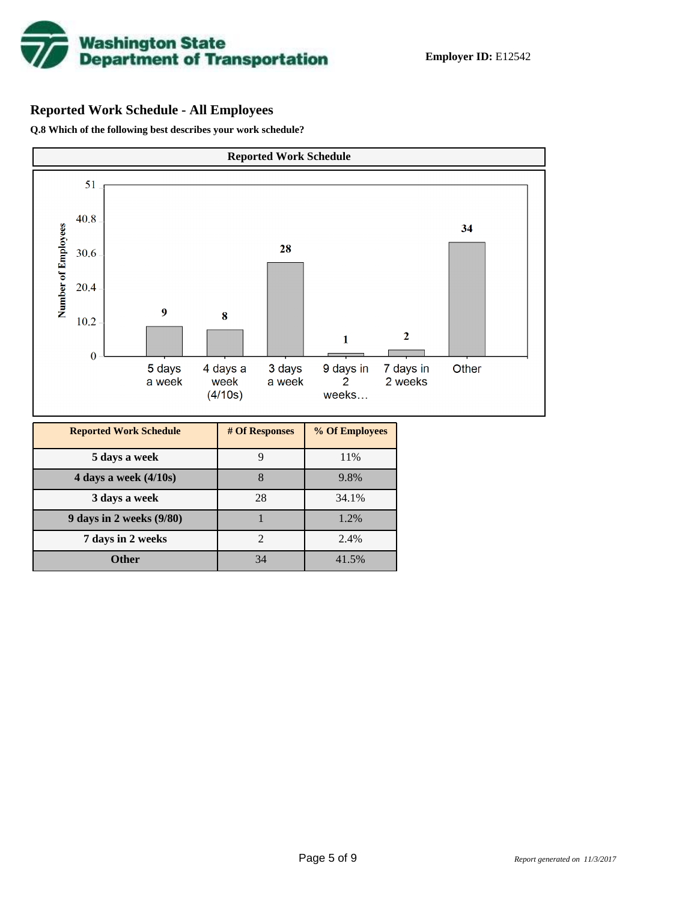

# **Reported Work Schedule - All Employees**

**Q.8 Which of the following best describes your work schedule?**

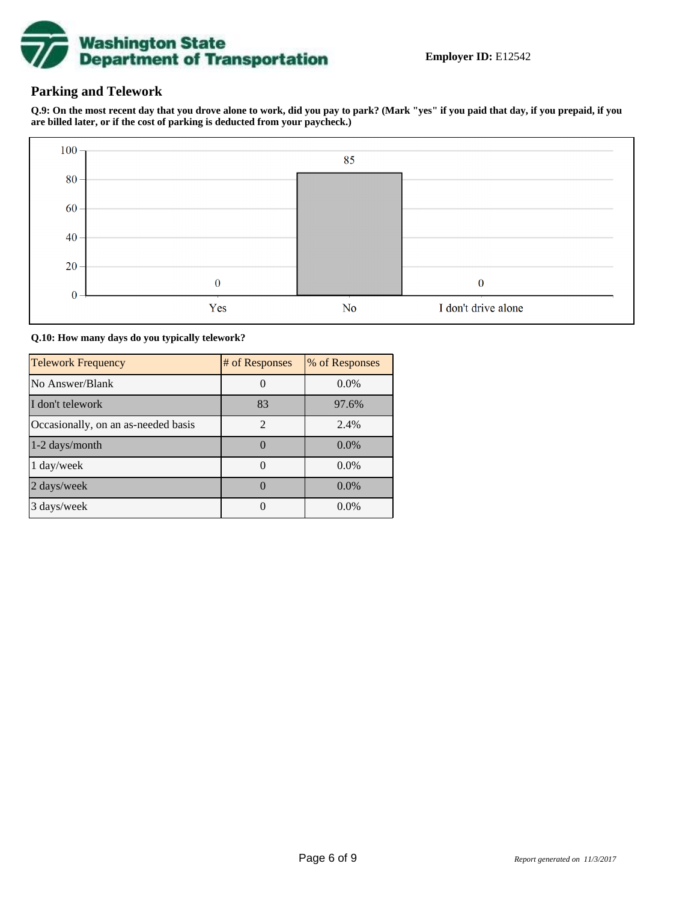

# **Parking and Telework**

**Q.9: On the most recent day that you drove alone to work, did you pay to park? (Mark "yes" if you paid that day, if you prepaid, if you are billed later, or if the cost of parking is deducted from your paycheck.)**



**Q.10: How many days do you typically telework?**

| <b>Telework Frequency</b>           | # of Responses | % of Responses |
|-------------------------------------|----------------|----------------|
| No Answer/Blank                     |                | $0.0\%$        |
| I don't telework                    | 83             | 97.6%          |
| Occasionally, on an as-needed basis | $\mathfrak{D}$ | 2.4%           |
| 1-2 days/month                      |                | $0.0\%$        |
| 1 day/week                          |                | 0.0%           |
| 2 days/week                         |                | $0.0\%$        |
| 3 days/week                         |                | $0.0\%$        |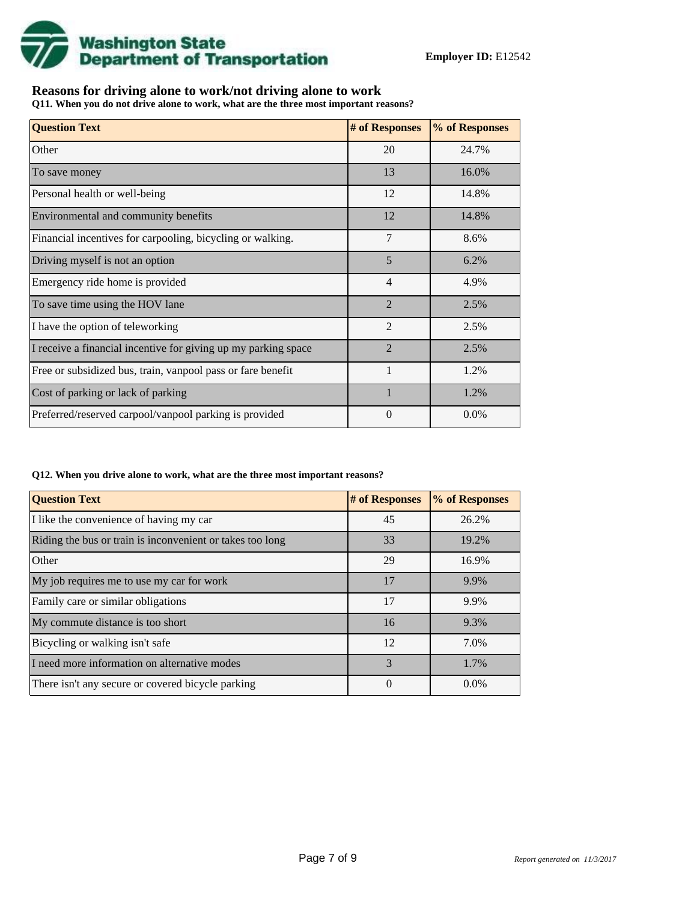

# **Reasons for driving alone to work/not driving alone to work**

**Q11. When you do not drive alone to work, what are the three most important reasons?**

| <b>Question Text</b>                                           | # of Responses | % of Responses |
|----------------------------------------------------------------|----------------|----------------|
| Other                                                          | 20             | 24.7%          |
| To save money                                                  | 13             | 16.0%          |
| Personal health or well-being                                  | 12             | 14.8%          |
| Environmental and community benefits                           | 12             | 14.8%          |
| Financial incentives for carpooling, bicycling or walking.     | 7              | 8.6%           |
| Driving myself is not an option                                | 5              | 6.2%           |
| Emergency ride home is provided                                | 4              | 4.9%           |
| To save time using the HOV lane                                | $\overline{2}$ | 2.5%           |
| I have the option of teleworking                               | $\overline{2}$ | 2.5%           |
| I receive a financial incentive for giving up my parking space | $\overline{2}$ | 2.5%           |
| Free or subsidized bus, train, vanpool pass or fare benefit    |                | 1.2%           |
| Cost of parking or lack of parking                             | $\mathbf{1}$   | 1.2%           |
| Preferred/reserved carpool/vanpool parking is provided         | 0              | $0.0\%$        |

#### **Q12. When you drive alone to work, what are the three most important reasons?**

| <b>Question Text</b>                                      | # of Responses | % of Responses |
|-----------------------------------------------------------|----------------|----------------|
| I like the convenience of having my car                   | 45             | 26.2%          |
| Riding the bus or train is inconvenient or takes too long | 33             | 19.2%          |
| Other                                                     | 29             | 16.9%          |
| My job requires me to use my car for work                 | 17             | 9.9%           |
| Family care or similar obligations                        | 17             | 9.9%           |
| My commute distance is too short                          | 16             | 9.3%           |
| Bicycling or walking isn't safe                           | 12             | 7.0%           |
| I need more information on alternative modes              | 3              | 1.7%           |
| There isn't any secure or covered bicycle parking         | $\theta$       | $0.0\%$        |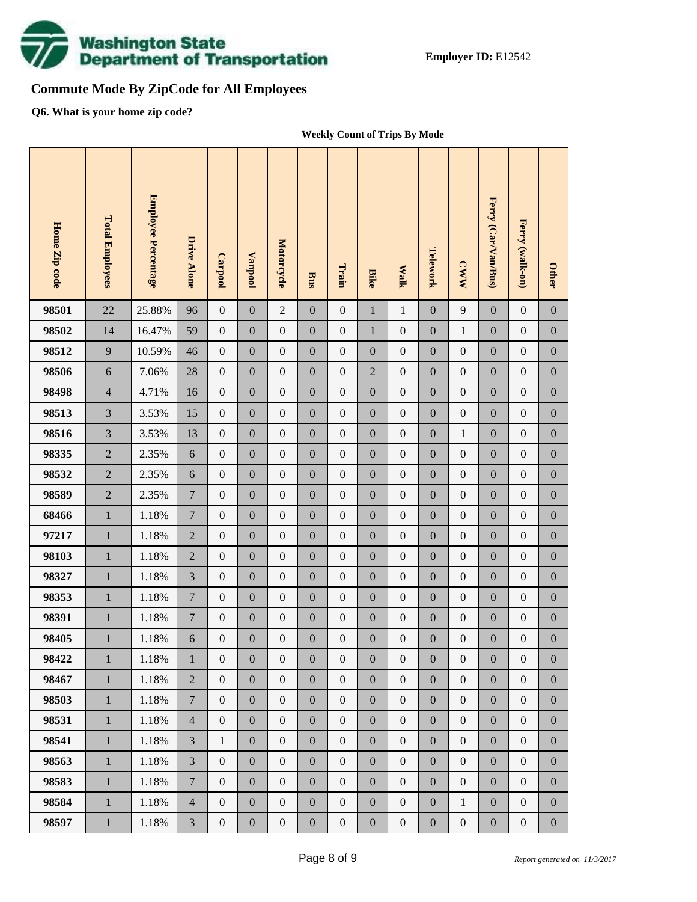

# **Commute Mode By ZipCode for All Employees**

**Q6. What is your home zip code?**

|               |                        |                     | <b>Weekly Count of Trips By Mode</b> |                  |                  |                  |                  |                  |                  |                  |                  |                  |                     |                  |                  |
|---------------|------------------------|---------------------|--------------------------------------|------------------|------------------|------------------|------------------|------------------|------------------|------------------|------------------|------------------|---------------------|------------------|------------------|
| Home Zip code | <b>Total Employees</b> | Employee Percentage | <b>Drive Alone</b>                   | <b>Carpool</b>   | <b>Vanpool</b>   | Motorcycle       | Bus              | Train            | <b>Bike</b>      | <b>Malk</b>      | Telework         | <b>CWW</b>       | Ferry (Car/Van/Bus) | Ferry (walk-on)  | <b>Other</b>     |
| 98501         | 22                     | 25.88%              | 96                                   | $\boldsymbol{0}$ | $\boldsymbol{0}$ | $\overline{2}$   | $\mathbf{0}$     | $\mathbf{0}$     | $\mathbf 1$      | $\mathbf{1}$     | $\boldsymbol{0}$ | 9                | $\boldsymbol{0}$    | $\boldsymbol{0}$ | $\boldsymbol{0}$ |
| 98502         | 14                     | 16.47%              | 59                                   | $\boldsymbol{0}$ | $\boldsymbol{0}$ | $\boldsymbol{0}$ | $\boldsymbol{0}$ | $\boldsymbol{0}$ | $\mathbf 1$      | $\boldsymbol{0}$ | $\boldsymbol{0}$ | $\mathbf{1}$     | $\boldsymbol{0}$    | $\boldsymbol{0}$ | $\boldsymbol{0}$ |
| 98512         | 9                      | 10.59%              | 46                                   | $\boldsymbol{0}$ | $\boldsymbol{0}$ | $\boldsymbol{0}$ | $\boldsymbol{0}$ | $\boldsymbol{0}$ | $\boldsymbol{0}$ | $\boldsymbol{0}$ | $\boldsymbol{0}$ | $\boldsymbol{0}$ | $\boldsymbol{0}$    | $\boldsymbol{0}$ | $\boldsymbol{0}$ |
| 98506         | 6                      | 7.06%               | 28                                   | $\boldsymbol{0}$ | $\boldsymbol{0}$ | $\boldsymbol{0}$ | $\boldsymbol{0}$ | $\boldsymbol{0}$ | $\overline{2}$   | $\boldsymbol{0}$ | $\boldsymbol{0}$ | $\boldsymbol{0}$ | $\boldsymbol{0}$    | $\boldsymbol{0}$ | $\boldsymbol{0}$ |
| 98498         | $\overline{4}$         | 4.71%               | 16                                   | $\boldsymbol{0}$ | $\boldsymbol{0}$ | $\boldsymbol{0}$ | $\boldsymbol{0}$ | $\boldsymbol{0}$ | $\boldsymbol{0}$ | $\boldsymbol{0}$ | $\boldsymbol{0}$ | $\boldsymbol{0}$ | $\boldsymbol{0}$    | $\boldsymbol{0}$ | $\boldsymbol{0}$ |
| 98513         | $\overline{3}$         | 3.53%               | 15                                   | $\boldsymbol{0}$ | $\boldsymbol{0}$ | $\boldsymbol{0}$ | $\boldsymbol{0}$ | $\boldsymbol{0}$ | $\overline{0}$   | $\boldsymbol{0}$ | $\boldsymbol{0}$ | $\boldsymbol{0}$ | $\boldsymbol{0}$    | $\boldsymbol{0}$ | $\boldsymbol{0}$ |
| 98516         | $\overline{3}$         | 3.53%               | 13                                   | $\boldsymbol{0}$ | $\boldsymbol{0}$ | $\boldsymbol{0}$ | $\boldsymbol{0}$ | $\boldsymbol{0}$ | $\boldsymbol{0}$ | $\boldsymbol{0}$ | $\boldsymbol{0}$ | $\mathbf{1}$     | $\boldsymbol{0}$    | $\boldsymbol{0}$ | $\boldsymbol{0}$ |
| 98335         | $\overline{2}$         | 2.35%               | $\sqrt{6}$                           | $\boldsymbol{0}$ | $\boldsymbol{0}$ | $\boldsymbol{0}$ | $\boldsymbol{0}$ | $\boldsymbol{0}$ | $\overline{0}$   | $\boldsymbol{0}$ | $\boldsymbol{0}$ | $\boldsymbol{0}$ | $\boldsymbol{0}$    | $\boldsymbol{0}$ | $\boldsymbol{0}$ |
| 98532         | $\overline{2}$         | 2.35%               | $\sqrt{6}$                           | $\boldsymbol{0}$ | $\boldsymbol{0}$ | $\boldsymbol{0}$ | $\boldsymbol{0}$ | $\boldsymbol{0}$ | $\boldsymbol{0}$ | $\boldsymbol{0}$ | $\boldsymbol{0}$ | $\boldsymbol{0}$ | $\boldsymbol{0}$    | $\boldsymbol{0}$ | $\boldsymbol{0}$ |
| 98589         | $\overline{2}$         | 2.35%               | $\boldsymbol{7}$                     | $\boldsymbol{0}$ | $\boldsymbol{0}$ | $\boldsymbol{0}$ | $\boldsymbol{0}$ | $\boldsymbol{0}$ | $\overline{0}$   | $\boldsymbol{0}$ | $\boldsymbol{0}$ | $\boldsymbol{0}$ | $\boldsymbol{0}$    | $\boldsymbol{0}$ | $\boldsymbol{0}$ |
| 68466         | $\mathbf{1}$           | 1.18%               | $\boldsymbol{7}$                     | $\boldsymbol{0}$ | $\boldsymbol{0}$ | $\boldsymbol{0}$ | $\boldsymbol{0}$ | $\boldsymbol{0}$ | $\boldsymbol{0}$ | $\boldsymbol{0}$ | $\boldsymbol{0}$ | $\boldsymbol{0}$ | $\boldsymbol{0}$    | $\boldsymbol{0}$ | $\boldsymbol{0}$ |
| 97217         | $\mathbf{1}$           | 1.18%               | $\sqrt{2}$                           | $\boldsymbol{0}$ | $\boldsymbol{0}$ | $\boldsymbol{0}$ | $\boldsymbol{0}$ | $\boldsymbol{0}$ | $\overline{0}$   | $\boldsymbol{0}$ | $\boldsymbol{0}$ | $\boldsymbol{0}$ | $\boldsymbol{0}$    | $\boldsymbol{0}$ | $\boldsymbol{0}$ |
| 98103         | $\mathbf 1$            | 1.18%               | $\sqrt{2}$                           | $\boldsymbol{0}$ | $\boldsymbol{0}$ | $\boldsymbol{0}$ | $\boldsymbol{0}$ | $\boldsymbol{0}$ | $\boldsymbol{0}$ | $\boldsymbol{0}$ | $\boldsymbol{0}$ | $\boldsymbol{0}$ | $\boldsymbol{0}$    | $\boldsymbol{0}$ | $\boldsymbol{0}$ |
| 98327         | $\mathbf{1}$           | 1.18%               | $\mathfrak{Z}$                       | $\boldsymbol{0}$ | $\boldsymbol{0}$ | $\boldsymbol{0}$ | $\boldsymbol{0}$ | $\boldsymbol{0}$ | $\overline{0}$   | $\boldsymbol{0}$ | $\boldsymbol{0}$ | $\boldsymbol{0}$ | $\boldsymbol{0}$    | $\boldsymbol{0}$ | $\boldsymbol{0}$ |
| 98353         | $\mathbf 1$            | 1.18%               | $\boldsymbol{7}$                     | $\boldsymbol{0}$ | $\boldsymbol{0}$ | $\boldsymbol{0}$ | $\boldsymbol{0}$ | $\boldsymbol{0}$ | $\boldsymbol{0}$ | $\boldsymbol{0}$ | $\boldsymbol{0}$ | $\boldsymbol{0}$ | $\boldsymbol{0}$    | $\boldsymbol{0}$ | $\boldsymbol{0}$ |
| 98391         | $\,1$                  | 1.18%               | $\boldsymbol{7}$                     | $\boldsymbol{0}$ | $\boldsymbol{0}$ | $\boldsymbol{0}$ | $\boldsymbol{0}$ | $\boldsymbol{0}$ | $\mathbf{0}$     | $\boldsymbol{0}$ | $\boldsymbol{0}$ | $\boldsymbol{0}$ | $\boldsymbol{0}$    | $\boldsymbol{0}$ | $\boldsymbol{0}$ |
| 98405         | $\mathbf{1}$           | $1.18\%$            | 6                                    | $\boldsymbol{0}$ | $\boldsymbol{0}$ | $\boldsymbol{0}$ | $\boldsymbol{0}$ | $\boldsymbol{0}$ | $\boldsymbol{0}$ | $\boldsymbol{0}$ | $\boldsymbol{0}$ | $\boldsymbol{0}$ | $\boldsymbol{0}$    | $\boldsymbol{0}$ | $\boldsymbol{0}$ |
| 98422         | $\mathbf{1}$           | 1.18%               | $\mathbf{1}$                         | $\mathbf{0}$     | $\boldsymbol{0}$ | $\mathbf{0}$     | $\boldsymbol{0}$ | $\boldsymbol{0}$ | $\overline{0}$   | $\mathbf{0}$     | $\boldsymbol{0}$ | $\mathbf{0}$     | $\boldsymbol{0}$    | $\boldsymbol{0}$ | $\overline{0}$   |
| 98467         | $\,1\,$                | 1.18%               | $\overline{2}$                       | $\mathbf{0}$     | $\boldsymbol{0}$ | $\boldsymbol{0}$ | $\boldsymbol{0}$ | $\overline{0}$   | $\overline{0}$   | $\boldsymbol{0}$ | $\boldsymbol{0}$ | $\mathbf{0}$     | $\boldsymbol{0}$    | $\boldsymbol{0}$ | $\boldsymbol{0}$ |
| 98503         | $\mathbf{1}$           | 1.18%               | $\overline{7}$                       | $\mathbf{0}$     | $\boldsymbol{0}$ | $\boldsymbol{0}$ | $\boldsymbol{0}$ | $\boldsymbol{0}$ | $\boldsymbol{0}$ | $\mathbf{0}$     | $\boldsymbol{0}$ | $\mathbf{0}$     | $\boldsymbol{0}$    | $\boldsymbol{0}$ | $\boldsymbol{0}$ |
| 98531         | $\mathbf{1}$           | 1.18%               | $\overline{4}$                       | $\boldsymbol{0}$ | $\boldsymbol{0}$ | $\boldsymbol{0}$ | $\boldsymbol{0}$ | $\overline{0}$   | $\overline{0}$   | $\boldsymbol{0}$ | $\boldsymbol{0}$ | $\mathbf{0}$     | $\boldsymbol{0}$    | $\boldsymbol{0}$ | $\boldsymbol{0}$ |
| 98541         | $1\,$                  | 1.18%               | $\overline{3}$                       | $\mathbf{1}$     | $\boldsymbol{0}$ | $\boldsymbol{0}$ | $\boldsymbol{0}$ | $\boldsymbol{0}$ | $\boldsymbol{0}$ | $\boldsymbol{0}$ | $\boldsymbol{0}$ | $\mathbf{0}$     | $\boldsymbol{0}$    | $\boldsymbol{0}$ | $\boldsymbol{0}$ |
| 98563         | $\mathbf{1}$           | 1.18%               | $\overline{3}$                       | $\mathbf{0}$     | $\mathbf{0}$     | $\boldsymbol{0}$ | $\boldsymbol{0}$ | $\mathbf{0}$     | $\overline{0}$   | $\mathbf{0}$     | $\boldsymbol{0}$ | $\mathbf{0}$     | $\boldsymbol{0}$    | $\boldsymbol{0}$ | $\boldsymbol{0}$ |
| 98583         | $\mathbf{1}$           | 1.18%               | $\overline{7}$                       | $\mathbf{0}$     | $\boldsymbol{0}$ | $\boldsymbol{0}$ | $\boldsymbol{0}$ | $\boldsymbol{0}$ | $\boldsymbol{0}$ | $\mathbf{0}$     | $\boldsymbol{0}$ | $\mathbf{0}$     | $\boldsymbol{0}$    | $\boldsymbol{0}$ | $\boldsymbol{0}$ |
| 98584         | $\,1\,$                | 1.18%               | $\overline{4}$                       | $\boldsymbol{0}$ | $\boldsymbol{0}$ | $\boldsymbol{0}$ | $\boldsymbol{0}$ | $\mathbf{0}$     | $\overline{0}$   | $\boldsymbol{0}$ | $\boldsymbol{0}$ | $\mathbf{1}$     | $\boldsymbol{0}$    | $\boldsymbol{0}$ | $\boldsymbol{0}$ |
| 98597         | $1\,$                  | 1.18%               | $\mathfrak{Z}$                       | $\boldsymbol{0}$ | $\boldsymbol{0}$ | $\boldsymbol{0}$ | $\boldsymbol{0}$ | $\boldsymbol{0}$ | $\boldsymbol{0}$ | $\boldsymbol{0}$ | $\boldsymbol{0}$ | $\boldsymbol{0}$ | $\boldsymbol{0}$    | $\boldsymbol{0}$ | $\boldsymbol{0}$ |